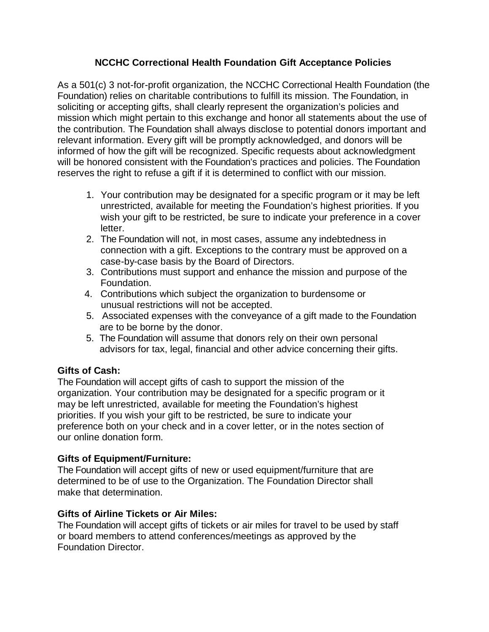# **NCCHC Correctional Health Foundation Gift Acceptance Policies**

As a 501(c) 3 not-for-profit organization, the NCCHC Correctional Health Foundation (the Foundation) relies on charitable contributions to fulfill its mission. The Foundation, in soliciting or accepting gifts, shall clearly represent the organization's policies and mission which might pertain to this exchange and honor all statements about the use of the contribution. The Foundation shall always disclose to potential donors important and relevant information. Every gift will be promptly acknowledged, and donors will be informed of how the gift will be recognized. Specific requests about acknowledgment will be honored consistent with the Foundation's practices and policies. The Foundation reserves the right to refuse a gift if it is determined to conflict with our mission.

- 1. Your contribution may be designated for a specific program or it may be left unrestricted, available for meeting the Foundation's highest priorities. If you wish your gift to be restricted, be sure to indicate your preference in a cover letter.
- 2. The Foundation will not, in most cases, assume any indebtedness in connection with a gift. Exceptions to the contrary must be approved on a case-by-case basis by the Board of Directors.
- 3. Contributions must support and enhance the mission and purpose of the Foundation.
- 4. Contributions which subject the organization to burdensome or unusual restrictions will not be accepted.
- 5. Associated expenses with the conveyance of a gift made to the Foundation are to be borne by the donor.
- 5. The Foundation will assume that donors rely on their own personal advisors for tax, legal, financial and other advice concerning their gifts.

## **Gifts of Cash:**

The Foundation will accept gifts of cash to support the mission of the organization. Your contribution may be designated for a specific program or it may be left unrestricted, available for meeting the Foundation's highest priorities. If you wish your gift to be restricted, be sure to indicate your preference both on your check and in a cover letter, or in the notes section of our online donation form.

## **Gifts of Equipment/Furniture:**

The Foundation will accept gifts of new or used equipment/furniture that are determined to be of use to the Organization. The Foundation Director shall make that determination.

## **Gifts of Airline Tickets or Air Miles:**

The Foundation will accept gifts of tickets or air miles for travel to be used by staff or board members to attend conferences/meetings as approved by the Foundation Director.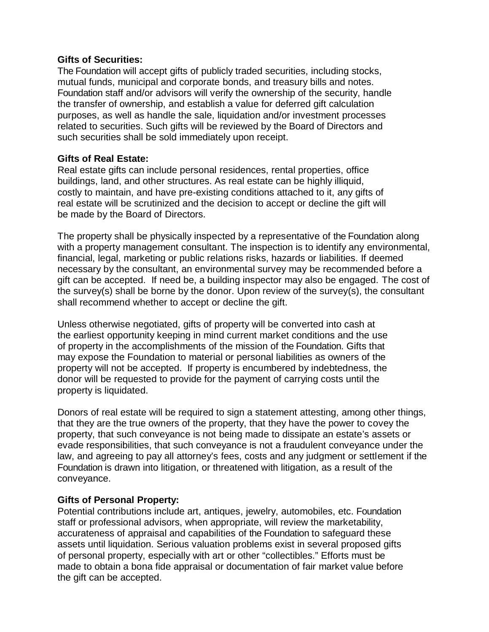#### **Gifts of Securities:**

The Foundation will accept gifts of publicly traded securities, including stocks, mutual funds, municipal and corporate bonds, and treasury bills and notes. Foundation staff and/or advisors will verify the ownership of the security, handle the transfer of ownership, and establish a value for deferred gift calculation purposes, as well as handle the sale, liquidation and/or investment processes related to securities. Such gifts will be reviewed by the Board of Directors and such securities shall be sold immediately upon receipt.

### **Gifts of Real Estate:**

Real estate gifts can include personal residences, rental properties, office buildings, land, and other structures. As real estate can be highly illiquid, costly to maintain, and have pre-existing conditions attached to it, any gifts of real estate will be scrutinized and the decision to accept or decline the gift will be made by the Board of Directors.

The property shall be physically inspected by a representative of the Foundation along with a property management consultant. The inspection is to identify any environmental, financial, legal, marketing or public relations risks, hazards or liabilities. If deemed necessary by the consultant, an environmental survey may be recommended before a gift can be accepted. If need be, a building inspector may also be engaged. The cost of the survey(s) shall be borne by the donor. Upon review of the survey(s), the consultant shall recommend whether to accept or decline the gift.

Unless otherwise negotiated, gifts of property will be converted into cash at the earliest opportunity keeping in mind current market conditions and the use of property in the accomplishments of the mission of the Foundation. Gifts that may expose the Foundation to material or personal liabilities as owners of the property will not be accepted. If property is encumbered by indebtedness, the donor will be requested to provide for the payment of carrying costs until the property is liquidated.

Donors of real estate will be required to sign a statement attesting, among other things, that they are the true owners of the property, that they have the power to covey the property, that such conveyance is not being made to dissipate an estate's assets or evade responsibilities, that such conveyance is not a fraudulent conveyance under the law, and agreeing to pay all attorney's fees, costs and any judgment or settlement if the Foundation is drawn into litigation, or threatened with litigation, as a result of the conveyance.

### **Gifts of Personal Property:**

Potential contributions include art, antiques, jewelry, automobiles, etc. Foundation staff or professional advisors, when appropriate, will review the marketability, accurateness of appraisal and capabilities of the Foundation to safeguard these assets until liquidation. Serious valuation problems exist in several proposed gifts of personal property, especially with art or other "collectibles." Efforts must be made to obtain a bona fide appraisal or documentation of fair market value before the gift can be accepted.